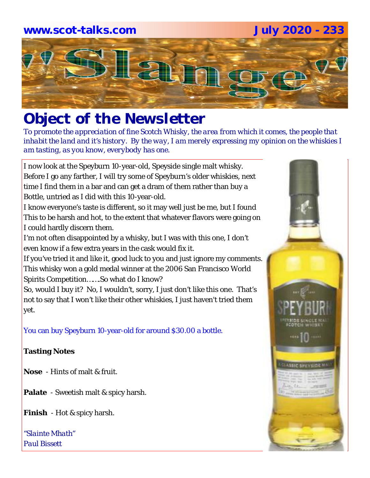# **www.scot-talks.com July 2020 - 233**Lau

# *Object of the Newsletter*

*To promote the appreciation of fine Scotch Whisky, the area from which it comes, the people that inhabit the land and it's history. By the way, I am merely expressing my opinion on the whiskies I am tasting, as you know, everybody has one.* 

I now look at the Speyburn 10-year-old, Speyside single malt whisky. Before I go any farther, I will try some of Speyburn's older whiskies, next time I find them in a bar and can get a dram of them rather than buy a Bottle, untried as I did with this 10-year-old.

I know everyone's taste is different, so it may well just be me, but I found This to be harsh and hot, to the extent that whatever flavors were going on I could hardly discern them.

I'm not often disappointed by a whisky, but I was with this one, I don't even know if a few extra years in the cask would fix it.

If you've tried it and like it, good luck to you and just ignore my comments. This whisky won a gold medal winner at the 2006 San Francisco World Spirits Competition…….So what do I know?

So, would I buy it? No, I wouldn't, sorry, I just don't like this one. That's not to say that I won't like their other whiskies, I just haven't tried them yet.

You can buy Speyburn 10-year-old for around \$30.00 a bottle.

### **Tasting Notes**

- **Nose**  Hints of malt & fruit.
- **Palate**  Sweetish malt & spicy harsh.
- **Finish**  Hot & spicy harsh.

*"Slainte Mhath" Paul Bissett*

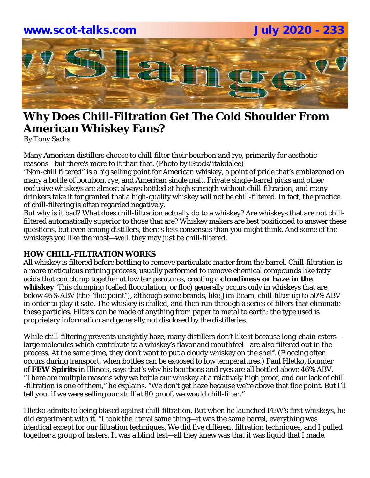

# **Why Does Chill-Filtration Get The Cold Shoulder From American Whiskey Fans?**

By Tony Sachs

Many American distillers choose to chill-filter their bourbon and rye, primarily for aesthetic reasons—but there's more to it than that. (Photo by iStock/itakdalee)

"Non-chill filtered" is a big selling point for American whiskey, a point of pride that's emblazoned on many a bottle of bourbon, rye, and American single malt. Private single-barrel picks and other exclusive whiskeys are almost always bottled at high strength without chill-filtration, and many drinkers take it for granted that a high-quality whiskey will not be chill-filtered. In fact, the practice of chill-filtering is often regarded negatively.

But why is it bad? What does chill-filtration actually do to a whiskey? Are whiskeys that are not chillfiltered automatically superior to those that are? Whiskey makers are best positioned to answer these questions, but even among distillers, there's less consensus than you might think. And some of the whiskeys you like the most—well, they may just be chill-filtered.

#### **HOW CHILL-FILTRATION WORKS**

All whiskey is filtered before bottling to remove particulate matter from the barrel. Chill-filtration is a more meticulous refining process, usually performed to remove chemical compounds like fatty acids that can clump together at low temperatures, creating a **cloudiness or haze in the whiskey**. This clumping (called flocculation, or floc) generally occurs only in whiskeys that are below 46% ABV (the "floc point"), although some brands, like Jim Beam, chill-filter up to 50% ABV in order to play it safe. The whiskey is chilled, and then run through a series of filters that eliminate these particles. Filters can be made of anything from paper to metal to earth; the type used is proprietary information and generally not disclosed by the distilleries.

While chill-filtering prevents unsightly haze, many distillers don't like it because long-chain esters large molecules which contribute to a whiskey's flavor and mouthfeel—are also filtered out in the process. At the same time, they don't want to put a cloudy whiskey on the shelf. (Floccing often occurs during transport, when bottles can be exposed to low temperatures.) Paul Hletko, founder of **FEW Spirits** in Illinois, says that's why his bourbons and ryes are all bottled above 46% ABV. "There are multiple reasons why we bottle our whiskey at a relatively high proof, and our lack of chill -filtration is one of them," he explains. "We don't get haze because we're above that floc point. But I'll tell you, if we were selling our stuff at 80 proof, we would chill-filter."

Hletko admits to being biased against chill-filtration. But when he launched FEW's first whiskeys, he did experiment with it. "I took the literal same thing—it was the same barrel, everything was identical except for our filtration techniques. We did five different filtration techniques, and I pulled together a group of tasters. It was a blind test—all they knew was that it was liquid that I made.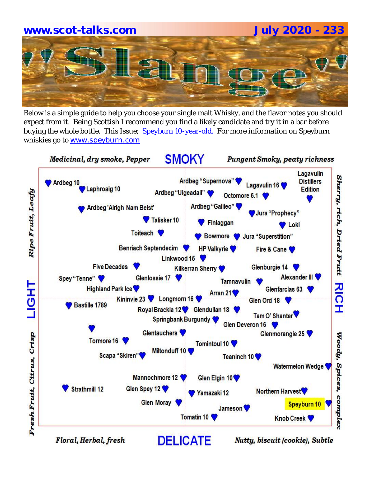# **www.scot-talks.com July 2020 - 233**

Below is a simple guide to help you choose your single malt Whisky, and the flavor notes you should expect from it. Being Scottish I recommend you find a likely candidate and try it in a bar before buying the whole bottle. This Issue; Speyburn 10-year-old. For more information on Speyburn whiskies go to www.speyburn.com



Floral, Herbal, fresh

Nutty, biscuit (cookie), Subtle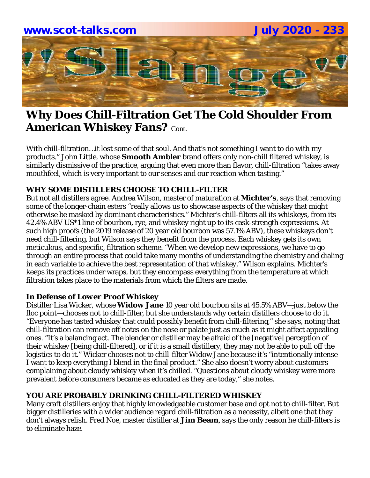

# **Why Does Chill-Filtration Get The Cold Shoulder From American Whiskey Fans?** Cont.

With chill-filtration…it lost some of that soul. And that's not something I want to do with my products." John Little, whose **Smooth Ambler** brand offers only non-chill filtered whiskey, is similarly dismissive of the practice, arguing that even more than flavor, chill-filtration "takes away mouthfeel, which is very important to our senses and our reaction when tasting."

#### **WHY SOME DISTILLERS CHOOSE TO CHILL-FILTER**

But not all distillers agree. Andrea Wilson, master of maturation at **Michter's**, says that removing some of the longer-chain esters "really allows us to showcase aspects of the whiskey that might otherwise be masked by dominant characteristics." Michter's chill-filters all its whiskeys, from its 42.4% ABV US\*1 line of bourbon, rye, and whiskey right up to its cask-strength expressions. At such high proofs (the 2019 release of 20 year old bourbon was 57.1% ABV), these whiskeys don't need chill-filtering, but Wilson says they benefit from the process. Each whiskey gets its own meticulous, and specific, filtration scheme. "When we develop new expressions, we have to go through an entire process that could take many months of understanding the chemistry and dialing in each variable to achieve the best representation of that whiskey," Wilson explains. Michter's keeps its practices under wraps, but they encompass everything from the temperature at which filtration takes place to the materials from which the filters are made.

#### *In Defense of Lower Proof Whiskey*

Distiller Lisa Wicker, whose **Widow Jane** 10 year old bourbon sits at 45.5% ABV—just below the floc point—chooses not to chill-filter, but she understands why certain distillers choose to do it. "Everyone has tasted whiskey that could possibly benefit from chill-filtering," she says, noting that chill-filtration can remove off notes on the nose or palate just as much as it might affect appealing ones. "It's a balancing act. The blender or distiller may be afraid of the [negative] perception of their whiskey [being chill-filtered], or if it is a small distillery, they may not be able to pull off the logistics to do it." Wicker chooses not to chill-filter Widow Jane because it's "intentionally intense— I want to keep everything I blend in the final product." She also doesn't worry about customers complaining about cloudy whiskey when it's chilled. "Questions about cloudy whiskey were more prevalent before consumers became as educated as they are today," she notes.

#### **YOU ARE PROBABLY DRINKING CHILL-FILTERED WHISKEY**

Many craft distillers enjoy that highly knowledgeable customer base and opt not to chill-filter. But bigger distilleries with a wider audience regard chill-filtration as a necessity, albeit one that they don't always relish. Fred Noe, master distiller at **Jim Beam**, says the only reason he chill-filters is to eliminate haze.